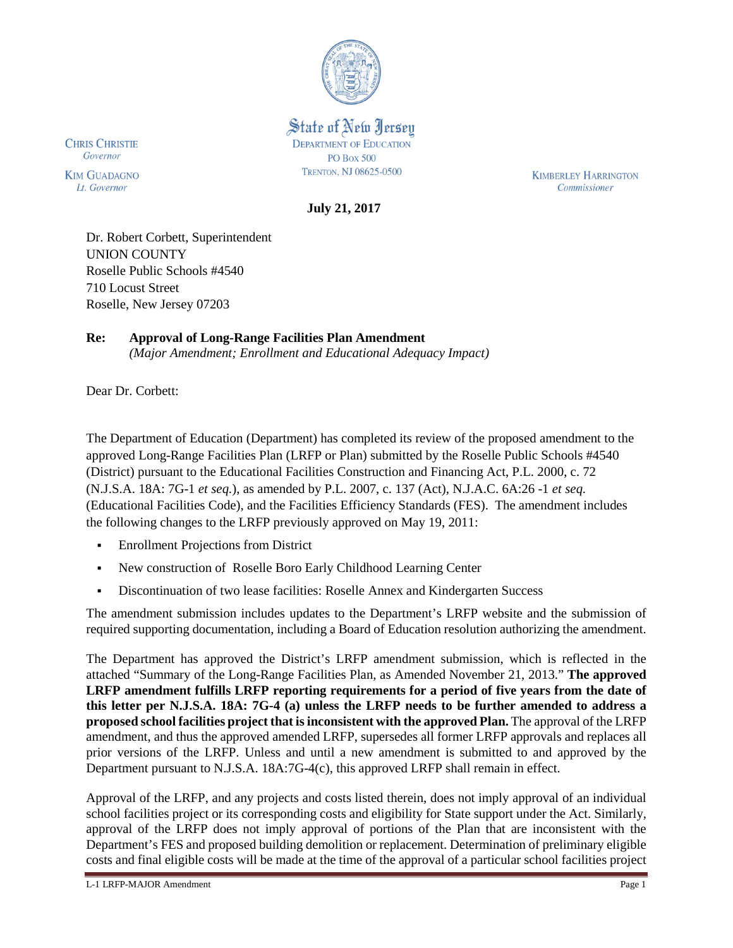

State of New Jersey **DEPARTMENT OF EDUCATION PO Box 500 TRENTON, NJ 08625-0500** 

**KIMBERLEY HARRINGTON** Commissioner

**July 21, 2017** 

Dr. Robert Corbett, Superintendent UNION COUNTY Roselle Public Schools #4540 710 Locust Street Roselle, New Jersey 07203

**Re: Approval of Long-Range Facilities Plan Amendment**

*(Major Amendment; Enrollment and Educational Adequacy Impact)*

Dear Dr. Corbett:

**CHRIS CHRISTIE**<br>Governor

**KIM GUADAGNO** 

Lt. Governor

The Department of Education (Department) has completed its review of the proposed amendment to the approved Long-Range Facilities Plan (LRFP or Plan) submitted by the Roselle Public Schools #4540 (District) pursuant to the Educational Facilities Construction and Financing Act, P.L. 2000, c. 72 (N.J.S.A. 18A: 7G-1 *et seq.*), as amended by P.L. 2007, c. 137 (Act), N.J.A.C. 6A:26 -1 *et seq.* (Educational Facilities Code), and the Facilities Efficiency Standards (FES). The amendment includes the following changes to the LRFP previously approved on May 19, 2011:

- Enrollment Projections from District
- New construction of Roselle Boro Early Childhood Learning Center
- Discontinuation of two lease facilities: Roselle Annex and Kindergarten Success

The amendment submission includes updates to the Department's LRFP website and the submission of required supporting documentation, including a Board of Education resolution authorizing the amendment.

The Department has approved the District's LRFP amendment submission, which is reflected in the attached "Summary of the Long-Range Facilities Plan, as Amended November 21, 2013." **The approved LRFP amendment fulfills LRFP reporting requirements for a period of five years from the date of this letter per N.J.S.A. 18A: 7G-4 (a) unless the LRFP needs to be further amended to address a proposed school facilities project that is inconsistent with the approved Plan.** The approval of the LRFP amendment, and thus the approved amended LRFP, supersedes all former LRFP approvals and replaces all prior versions of the LRFP. Unless and until a new amendment is submitted to and approved by the Department pursuant to N.J.S.A. 18A:7G-4(c), this approved LRFP shall remain in effect.

Approval of the LRFP, and any projects and costs listed therein, does not imply approval of an individual school facilities project or its corresponding costs and eligibility for State support under the Act. Similarly, approval of the LRFP does not imply approval of portions of the Plan that are inconsistent with the Department's FES and proposed building demolition or replacement. Determination of preliminary eligible costs and final eligible costs will be made at the time of the approval of a particular school facilities project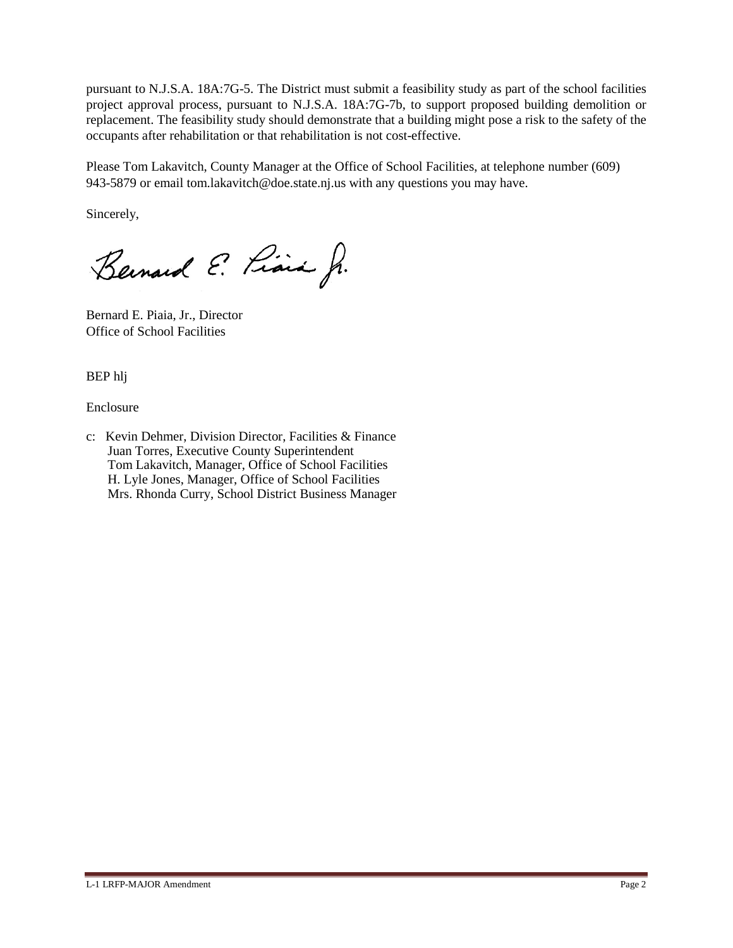pursuant to N.J.S.A. 18A:7G-5. The District must submit a feasibility study as part of the school facilities project approval process, pursuant to N.J.S.A. 18A:7G-7b, to support proposed building demolition or replacement. The feasibility study should demonstrate that a building might pose a risk to the safety of the occupants after rehabilitation or that rehabilitation is not cost-effective.

Please Tom Lakavitch, County Manager at the Office of School Facilities, at telephone number (609) 943-5879 or email tom.lakavitch@doe.state.nj.us with any questions you may have.

Sincerely,

Bernard E. Piara Jr.

Bernard E. Piaia, Jr., Director Office of School Facilities

BEP hlj

Enclosure

c: Kevin Dehmer, Division Director, Facilities & Finance Juan Torres, Executive County Superintendent Tom Lakavitch, Manager, Office of School Facilities H. Lyle Jones, Manager, Office of School Facilities Mrs. Rhonda Curry, School District Business Manager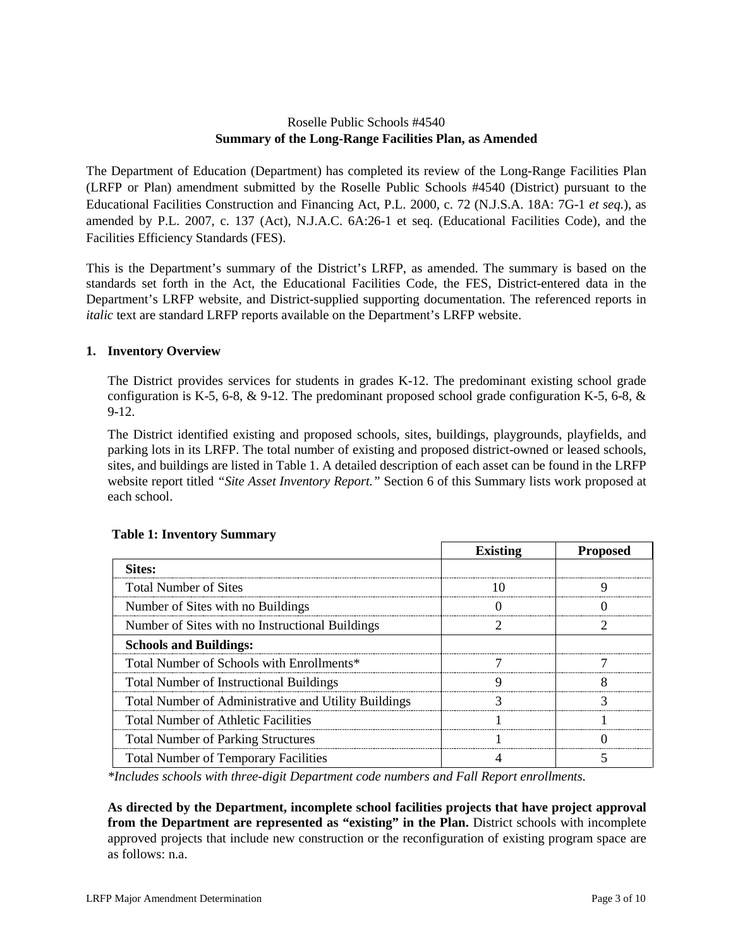# Roselle Public Schools #4540 **Summary of the Long-Range Facilities Plan, as Amended**

The Department of Education (Department) has completed its review of the Long-Range Facilities Plan (LRFP or Plan) amendment submitted by the Roselle Public Schools #4540 (District) pursuant to the Educational Facilities Construction and Financing Act, P.L. 2000, c. 72 (N.J.S.A. 18A: 7G-1 *et seq.*), as amended by P.L. 2007, c. 137 (Act), N.J.A.C. 6A:26-1 et seq. (Educational Facilities Code), and the Facilities Efficiency Standards (FES).

This is the Department's summary of the District's LRFP, as amended. The summary is based on the standards set forth in the Act, the Educational Facilities Code, the FES, District-entered data in the Department's LRFP website, and District-supplied supporting documentation. The referenced reports in *italic* text are standard LRFP reports available on the Department's LRFP website.

## **1. Inventory Overview**

The District provides services for students in grades K-12. The predominant existing school grade configuration is K-5, 6-8,  $\&$  9-12. The predominant proposed school grade configuration K-5, 6-8,  $\&$ 9-12.

The District identified existing and proposed schools, sites, buildings, playgrounds, playfields, and parking lots in its LRFP. The total number of existing and proposed district-owned or leased schools, sites, and buildings are listed in Table 1. A detailed description of each asset can be found in the LRFP website report titled *"Site Asset Inventory Report."* Section 6 of this Summary lists work proposed at each school.

|                                                      | <b>Existing</b> | <b>Proposed</b> |
|------------------------------------------------------|-----------------|-----------------|
| Sites:                                               |                 |                 |
| <b>Total Number of Sites</b>                         |                 |                 |
| Number of Sites with no Buildings                    |                 |                 |
| Number of Sites with no Instructional Buildings      |                 |                 |
| <b>Schools and Buildings:</b>                        |                 |                 |
| Total Number of Schools with Enrollments*            |                 |                 |
| <b>Total Number of Instructional Buildings</b>       |                 |                 |
| Total Number of Administrative and Utility Buildings |                 |                 |
| <b>Total Number of Athletic Facilities</b>           |                 |                 |
| <b>Total Number of Parking Structures</b>            |                 |                 |
| <b>Total Number of Temporary Facilities</b>          |                 |                 |

### **Table 1: Inventory Summary**

*\*Includes schools with three-digit Department code numbers and Fall Report enrollments.*

**As directed by the Department, incomplete school facilities projects that have project approval from the Department are represented as "existing" in the Plan.** District schools with incomplete approved projects that include new construction or the reconfiguration of existing program space are as follows: n.a.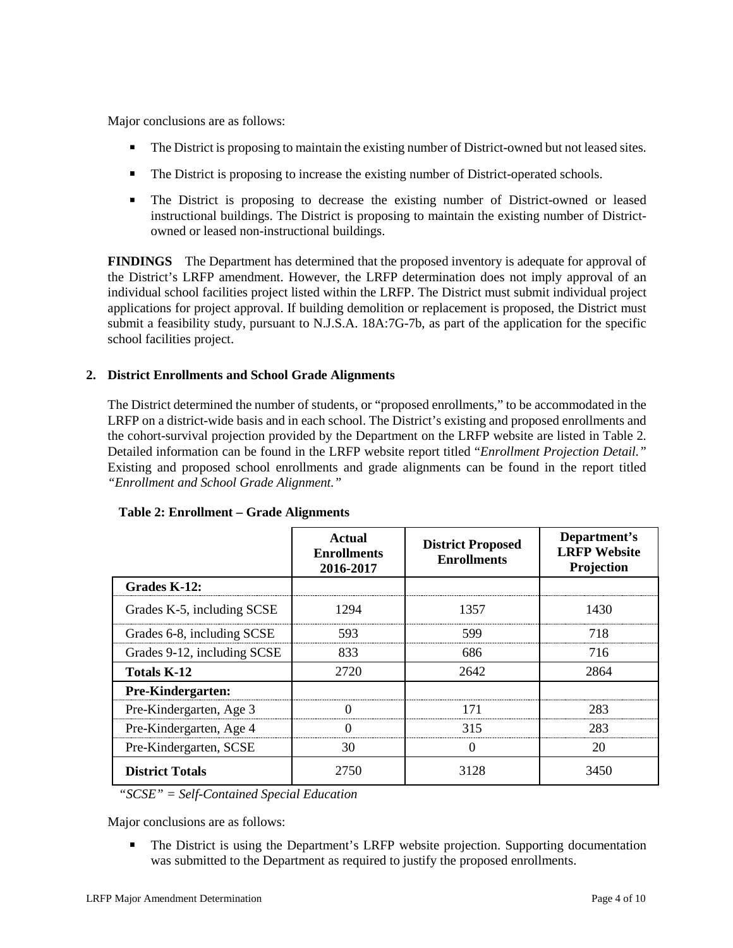Major conclusions are as follows:

- The District is proposing to maintain the existing number of District-owned but not leased sites.
- The District is proposing to increase the existing number of District-operated schools.
- The District is proposing to decrease the existing number of District-owned or leased instructional buildings. The District is proposing to maintain the existing number of Districtowned or leased non-instructional buildings.

**FINDINGS** The Department has determined that the proposed inventory is adequate for approval of the District's LRFP amendment. However, the LRFP determination does not imply approval of an individual school facilities project listed within the LRFP. The District must submit individual project applications for project approval. If building demolition or replacement is proposed, the District must submit a feasibility study, pursuant to N.J.S.A. 18A:7G-7b, as part of the application for the specific school facilities project.

## **2. District Enrollments and School Grade Alignments**

The District determined the number of students, or "proposed enrollments," to be accommodated in the LRFP on a district-wide basis and in each school. The District's existing and proposed enrollments and the cohort-survival projection provided by the Department on the LRFP website are listed in Table 2. Detailed information can be found in the LRFP website report titled "*Enrollment Projection Detail."*  Existing and proposed school enrollments and grade alignments can be found in the report titled *"Enrollment and School Grade Alignment."*

|                             | Actual<br><b>Enrollments</b><br>2016-2017 | <b>District Proposed</b><br><b>Enrollments</b> | Department's<br><b>LRFP</b> Website<br>Projection |
|-----------------------------|-------------------------------------------|------------------------------------------------|---------------------------------------------------|
| Grades K-12:                |                                           |                                                |                                                   |
| Grades K-5, including SCSE  | 1294                                      | 1357                                           | 1430                                              |
| Grades 6-8, including SCSE  | 593                                       | 599                                            | 718                                               |
| Grades 9-12, including SCSE | 833                                       | 686                                            | 716                                               |
| <b>Totals K-12</b>          | 2720                                      | 2642                                           | 2864                                              |
| <b>Pre-Kindergarten:</b>    |                                           |                                                |                                                   |
| Pre-Kindergarten, Age 3     |                                           | 171                                            | 283                                               |
| Pre-Kindergarten, Age 4     |                                           | 315                                            | 283                                               |
| Pre-Kindergarten, SCSE      | 30                                        |                                                | 20                                                |
| <b>District Totals</b>      | 2750                                      | 3128                                           | 3450                                              |

### **Table 2: Enrollment – Grade Alignments**

*"SCSE" = Self-Contained Special Education*

Major conclusions are as follows:

• The District is using the Department's LRFP website projection. Supporting documentation was submitted to the Department as required to justify the proposed enrollments.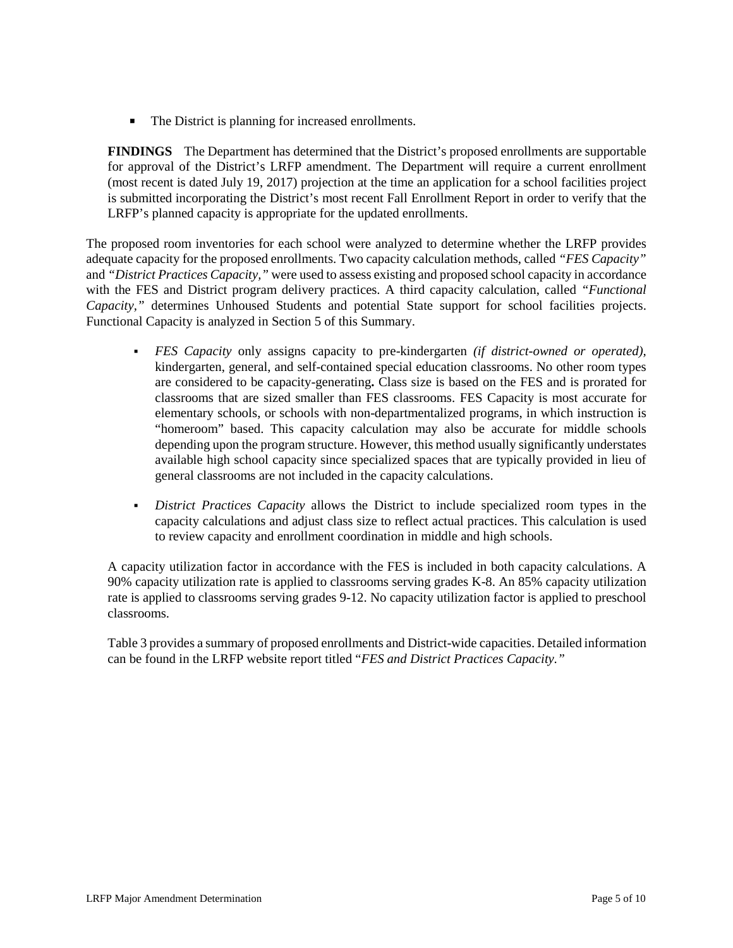The District is planning for increased enrollments.

**FINDINGS** The Department has determined that the District's proposed enrollments are supportable for approval of the District's LRFP amendment. The Department will require a current enrollment (most recent is dated July 19, 2017) projection at the time an application for a school facilities project is submitted incorporating the District's most recent Fall Enrollment Report in order to verify that the LRFP's planned capacity is appropriate for the updated enrollments.

The proposed room inventories for each school were analyzed to determine whether the LRFP provides adequate capacity for the proposed enrollments. Two capacity calculation methods, called *"FES Capacity"* and *"District Practices Capacity,"* were used to assess existing and proposed school capacity in accordance with the FES and District program delivery practices. A third capacity calculation, called *"Functional Capacity,"* determines Unhoused Students and potential State support for school facilities projects. Functional Capacity is analyzed in Section 5 of this Summary.

- *FES Capacity* only assigns capacity to pre-kindergarten *(if district-owned or operated),* kindergarten, general, and self-contained special education classrooms. No other room types are considered to be capacity-generating**.** Class size is based on the FES and is prorated for classrooms that are sized smaller than FES classrooms. FES Capacity is most accurate for elementary schools, or schools with non-departmentalized programs, in which instruction is "homeroom" based. This capacity calculation may also be accurate for middle schools depending upon the program structure. However, this method usually significantly understates available high school capacity since specialized spaces that are typically provided in lieu of general classrooms are not included in the capacity calculations.
- *District Practices Capacity* allows the District to include specialized room types in the capacity calculations and adjust class size to reflect actual practices. This calculation is used to review capacity and enrollment coordination in middle and high schools.

A capacity utilization factor in accordance with the FES is included in both capacity calculations. A 90% capacity utilization rate is applied to classrooms serving grades K-8. An 85% capacity utilization rate is applied to classrooms serving grades 9-12. No capacity utilization factor is applied to preschool classrooms.

Table 3 provides a summary of proposed enrollments and District-wide capacities. Detailed information can be found in the LRFP website report titled "*FES and District Practices Capacity."*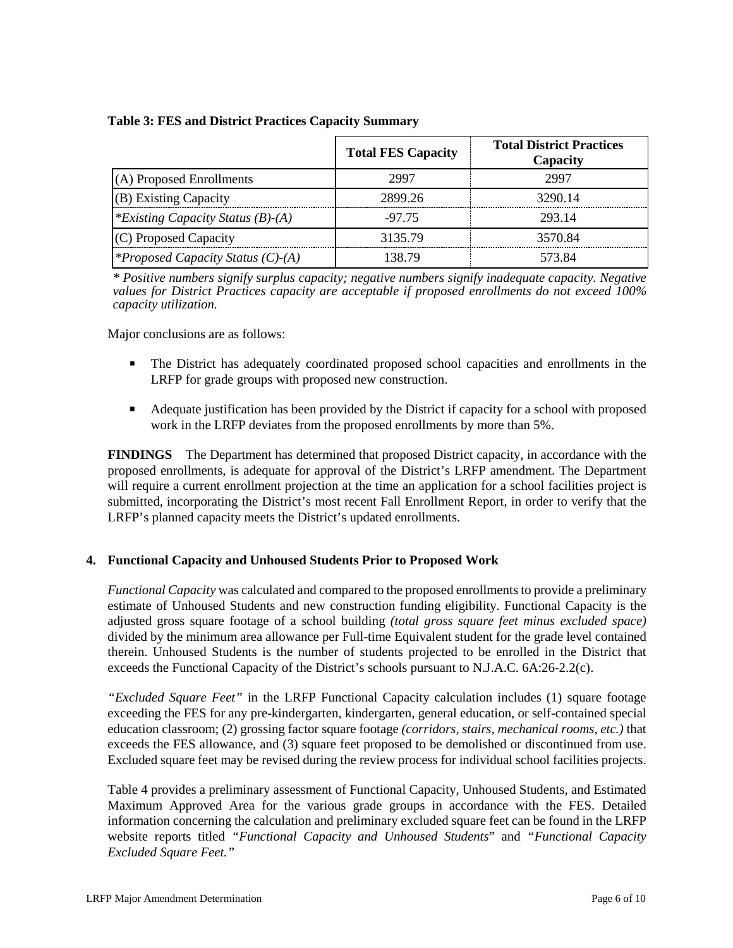|                                          | <b>Total FES Capacity</b> | <b>Total District Practices</b><br>Capacity |
|------------------------------------------|---------------------------|---------------------------------------------|
| (A) Proposed Enrollments                 | 2997                      | 2997                                        |
| (B) Existing Capacity                    | 2899.26                   | 3290.14                                     |
| *Existing Capacity Status $(B)$ - $(A)$  | $-97.75$                  | 293.14                                      |
| (C) Proposed Capacity                    | 3135.79                   | 3570.84                                     |
| <i>*Proposed Capacity Status (C)-(A)</i> | 138.79                    | 573.84                                      |

### **Table 3: FES and District Practices Capacity Summary**

*\* Positive numbers signify surplus capacity; negative numbers signify inadequate capacity. Negative values for District Practices capacity are acceptable if proposed enrollments do not exceed 100% capacity utilization.*

Major conclusions are as follows:

- The District has adequately coordinated proposed school capacities and enrollments in the LRFP for grade groups with proposed new construction.
- Adequate justification has been provided by the District if capacity for a school with proposed work in the LRFP deviates from the proposed enrollments by more than 5%.

**FINDINGS** The Department has determined that proposed District capacity, in accordance with the proposed enrollments, is adequate for approval of the District's LRFP amendment. The Department will require a current enrollment projection at the time an application for a school facilities project is submitted, incorporating the District's most recent Fall Enrollment Report, in order to verify that the LRFP's planned capacity meets the District's updated enrollments.

### **4. Functional Capacity and Unhoused Students Prior to Proposed Work**

*Functional Capacity* was calculated and compared to the proposed enrollments to provide a preliminary estimate of Unhoused Students and new construction funding eligibility. Functional Capacity is the adjusted gross square footage of a school building *(total gross square feet minus excluded space)*  divided by the minimum area allowance per Full-time Equivalent student for the grade level contained therein. Unhoused Students is the number of students projected to be enrolled in the District that exceeds the Functional Capacity of the District's schools pursuant to N.J.A.C. 6A:26-2.2(c).

*"Excluded Square Feet"* in the LRFP Functional Capacity calculation includes (1) square footage exceeding the FES for any pre-kindergarten, kindergarten, general education, or self-contained special education classroom; (2) grossing factor square footage *(corridors, stairs, mechanical rooms, etc.)* that exceeds the FES allowance, and (3) square feet proposed to be demolished or discontinued from use. Excluded square feet may be revised during the review process for individual school facilities projects.

Table 4 provides a preliminary assessment of Functional Capacity, Unhoused Students, and Estimated Maximum Approved Area for the various grade groups in accordance with the FES. Detailed information concerning the calculation and preliminary excluded square feet can be found in the LRFP website reports titled *"Functional Capacity and Unhoused Students*" and *"Functional Capacity Excluded Square Feet."*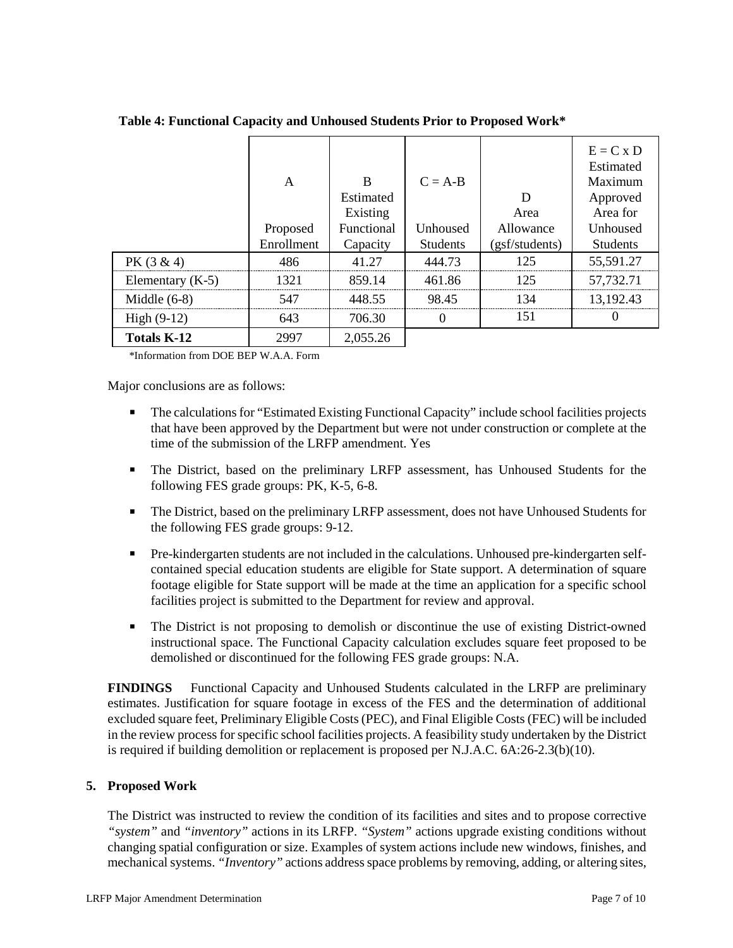|                    | A<br>Proposed<br>Enrollment | B<br>Estimated<br>Existing<br>Functional<br>Capacity | $C = A-B$<br>Unhoused<br><b>Students</b> | D<br>Area<br>Allowance<br>(gsf/students) | $E = C x D$<br>Estimated<br>Maximum<br>Approved<br>Area for<br>Unhoused<br><b>Students</b> |
|--------------------|-----------------------------|------------------------------------------------------|------------------------------------------|------------------------------------------|--------------------------------------------------------------------------------------------|
| $PK(3 \& 4)$       | 486                         | 41.27                                                | 444.73                                   | 125                                      | 55,591.27                                                                                  |
| Elementary $(K-5)$ | 1321                        | 859.14                                               | 461.86                                   | 125                                      | 57,732.71                                                                                  |
| Middle $(6-8)$     | 547                         | 448.55                                               | 98.45                                    | 134                                      | 13,192.43                                                                                  |
| High $(9-12)$      | 643                         | 706.30                                               |                                          | 151                                      |                                                                                            |
| <b>Totals K-12</b> | 2997                        | 2,055.26                                             |                                          |                                          |                                                                                            |

**Table 4: Functional Capacity and Unhoused Students Prior to Proposed Work\***

\*Information from DOE BEP W.A.A. Form

Major conclusions are as follows:

- The calculations for "Estimated Existing Functional Capacity" include school facilities projects that have been approved by the Department but were not under construction or complete at the time of the submission of the LRFP amendment. Yes
- The District, based on the preliminary LRFP assessment, has Unhoused Students for the following FES grade groups: PK, K-5, 6-8.
- The District, based on the preliminary LRFP assessment, does not have Unhoused Students for the following FES grade groups: 9-12.
- Pre-kindergarten students are not included in the calculations. Unhoused pre-kindergarten selfcontained special education students are eligible for State support. A determination of square footage eligible for State support will be made at the time an application for a specific school facilities project is submitted to the Department for review and approval.
- The District is not proposing to demolish or discontinue the use of existing District-owned instructional space. The Functional Capacity calculation excludes square feet proposed to be demolished or discontinued for the following FES grade groups: N.A.

**FINDINGS** Functional Capacity and Unhoused Students calculated in the LRFP are preliminary estimates. Justification for square footage in excess of the FES and the determination of additional excluded square feet, Preliminary Eligible Costs (PEC), and Final Eligible Costs (FEC) will be included in the review process for specific school facilities projects. A feasibility study undertaken by the District is required if building demolition or replacement is proposed per N.J.A.C. 6A:26-2.3(b)(10).

### **5. Proposed Work**

The District was instructed to review the condition of its facilities and sites and to propose corrective *"system"* and *"inventory"* actions in its LRFP. *"System"* actions upgrade existing conditions without changing spatial configuration or size. Examples of system actions include new windows, finishes, and mechanical systems. *"Inventory"* actions address space problems by removing, adding, or altering sites,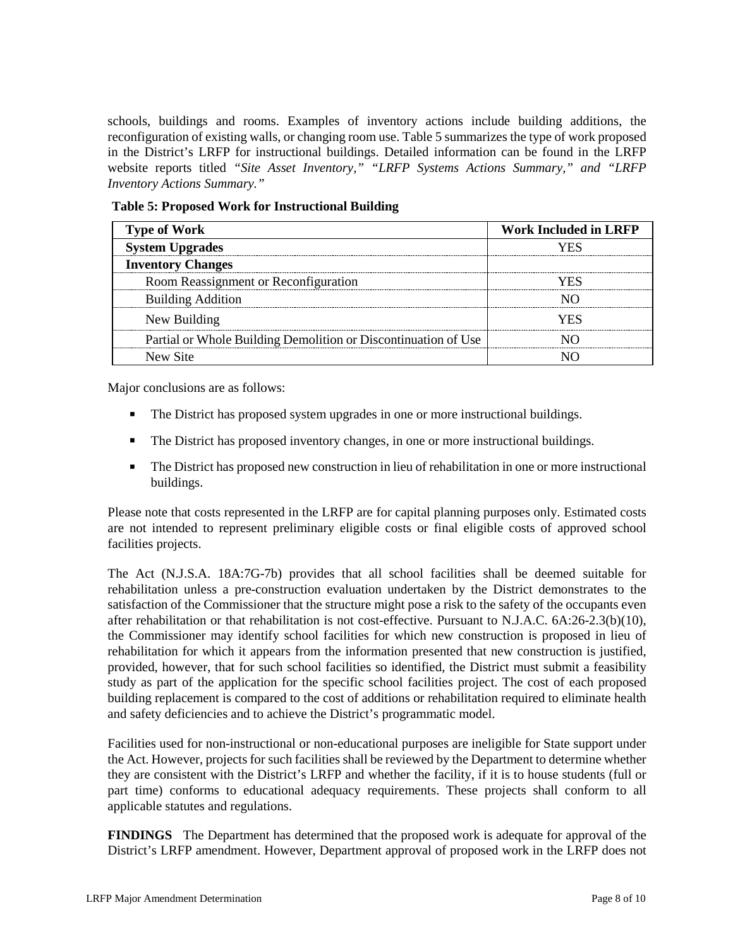schools, buildings and rooms. Examples of inventory actions include building additions, the reconfiguration of existing walls, or changing room use. Table 5 summarizes the type of work proposed in the District's LRFP for instructional buildings. Detailed information can be found in the LRFP website reports titled *"Site Asset Inventory," "LRFP Systems Actions Summary," and "LRFP Inventory Actions Summary."* 

| <b>Type of Work</b>                                            | <b>Work Included in LRFP</b> |  |  |
|----------------------------------------------------------------|------------------------------|--|--|
| ystem Upgrades                                                 |                              |  |  |
| <b>Inventory Changes</b>                                       |                              |  |  |
| Room Reassignment or Reconfiguration                           |                              |  |  |
| <b>Building Addition</b>                                       |                              |  |  |
| New Building                                                   |                              |  |  |
| Partial or Whole Building Demolition or Discontinuation of Use |                              |  |  |
| New Site                                                       |                              |  |  |

**Table 5: Proposed Work for Instructional Building**

Major conclusions are as follows:

- The District has proposed system upgrades in one or more instructional buildings.
- The District has proposed inventory changes, in one or more instructional buildings.
- The District has proposed new construction in lieu of rehabilitation in one or more instructional buildings.

Please note that costs represented in the LRFP are for capital planning purposes only. Estimated costs are not intended to represent preliminary eligible costs or final eligible costs of approved school facilities projects.

The Act (N.J.S.A. 18A:7G-7b) provides that all school facilities shall be deemed suitable for rehabilitation unless a pre-construction evaluation undertaken by the District demonstrates to the satisfaction of the Commissioner that the structure might pose a risk to the safety of the occupants even after rehabilitation or that rehabilitation is not cost-effective. Pursuant to N.J.A.C. 6A:26-2.3(b)(10), the Commissioner may identify school facilities for which new construction is proposed in lieu of rehabilitation for which it appears from the information presented that new construction is justified, provided, however, that for such school facilities so identified, the District must submit a feasibility study as part of the application for the specific school facilities project. The cost of each proposed building replacement is compared to the cost of additions or rehabilitation required to eliminate health and safety deficiencies and to achieve the District's programmatic model.

Facilities used for non-instructional or non-educational purposes are ineligible for State support under the Act. However, projects for such facilities shall be reviewed by the Department to determine whether they are consistent with the District's LRFP and whether the facility, if it is to house students (full or part time) conforms to educational adequacy requirements. These projects shall conform to all applicable statutes and regulations.

**FINDINGS** The Department has determined that the proposed work is adequate for approval of the District's LRFP amendment. However, Department approval of proposed work in the LRFP does not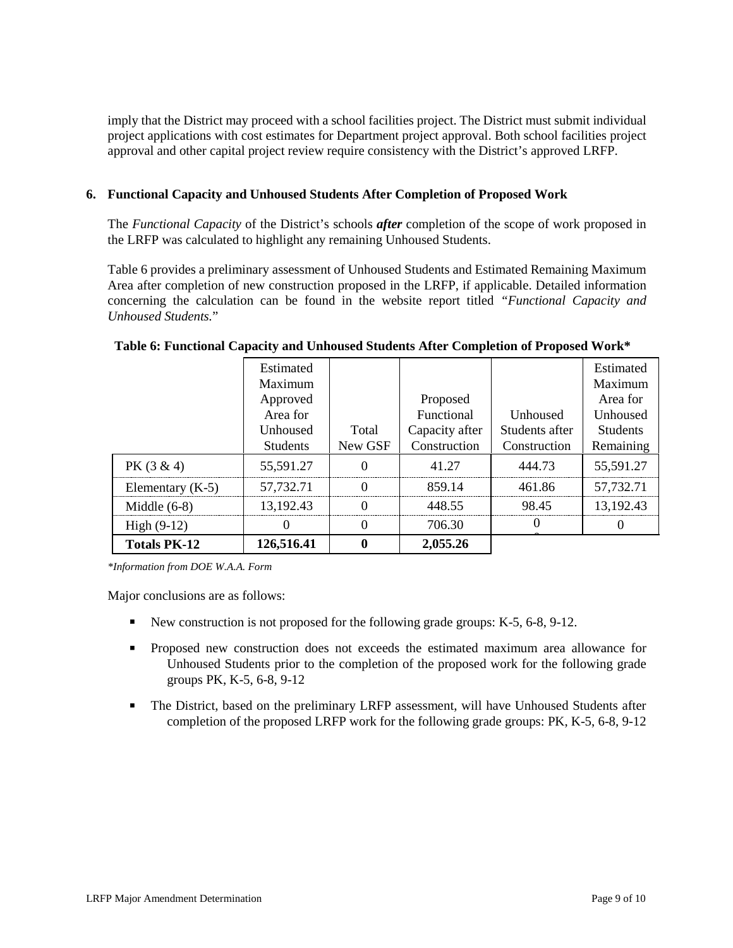imply that the District may proceed with a school facilities project. The District must submit individual project applications with cost estimates for Department project approval. Both school facilities project approval and other capital project review require consistency with the District's approved LRFP.

## **6. Functional Capacity and Unhoused Students After Completion of Proposed Work**

The *Functional Capacity* of the District's schools *after* completion of the scope of work proposed in the LRFP was calculated to highlight any remaining Unhoused Students.

Table 6 provides a preliminary assessment of Unhoused Students and Estimated Remaining Maximum Area after completion of new construction proposed in the LRFP, if applicable. Detailed information concerning the calculation can be found in the website report titled *"Functional Capacity and Unhoused Students.*"

|                    |                                              |                  | 706.30                         |                                |                                              |
|--------------------|----------------------------------------------|------------------|--------------------------------|--------------------------------|----------------------------------------------|
| High $(9-12)$      |                                              |                  |                                |                                |                                              |
| Middle $(6-8)$     | 13,192.43                                    |                  | 448.55                         | 98.45                          | 13,192.43                                    |
| Elementary $(K-5)$ | 57,732.71                                    |                  | 859.14                         | 461.86                         | 57,732.71                                    |
| $PK(3 \& 4)$       | 55,591.27                                    |                  | 41.27                          | 444.73                         | 55,591.27                                    |
|                    | Unhoused<br><b>Students</b>                  | Total<br>New GSF | Capacity after<br>Construction | Students after<br>Construction | <b>Students</b><br>Remaining                 |
|                    | Estimated<br>Maximum<br>Approved<br>Area for |                  | Proposed<br>Functional         | Unhoused                       | Estimated<br>Maximum<br>Area for<br>Unhoused |

#### **Table 6: Functional Capacity and Unhoused Students After Completion of Proposed Work\***

*\*Information from DOE W.A.A. Form*

Major conclusions are as follows:

- New construction is not proposed for the following grade groups:  $K-5$ ,  $6-8$ ,  $9-12$ .
- Proposed new construction does not exceeds the estimated maximum area allowance for Unhoused Students prior to the completion of the proposed work for the following grade groups PK, K-5, 6-8, 9-12
- The District, based on the preliminary LRFP assessment, will have Unhoused Students after completion of the proposed LRFP work for the following grade groups: PK, K-5, 6-8, 9-12